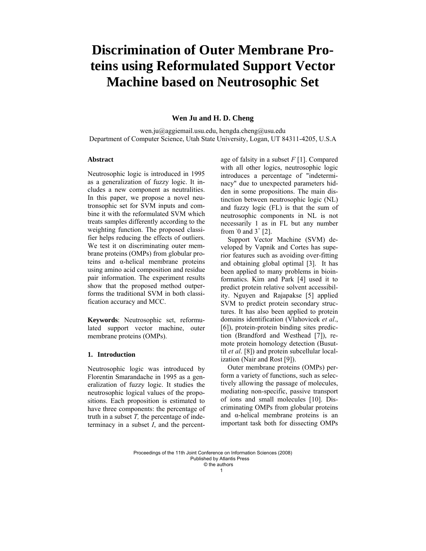# **Discrimination of Outer Membrane Proteins using Reformulated Support Vector Machine based on Neutrosophic Set**

# **Wen Ju and H. D. Cheng**

wen.ju@aggiemail.usu.edu, hengda.cheng@usu.edu Department of Computer Science, Utah State University, Logan, UT 84311-4205, U.S.A

#### **Abstract**

Neutrosophic logic is introduced in 1995 as a generalization of fuzzy logic. It includes a new component as neutralities. In this paper, we propose a novel neutronsophic set for SVM inputs and combine it with the reformulated SVM which treats samples differently according to the weighting function. The proposed classifier helps reducing the effects of outliers. We test it on discriminating outer membrane proteins (OMPs) from globular proteins and α-helical membrane proteins using amino acid composition and residue pair information. The experiment results show that the proposed method outperforms the traditional SVM in both classification accuracy and MCC.

**Keywords**: Neutrosophic set, reformulated support vector machine, outer membrane proteins (OMPs).

#### **1. Introduction**

Neutrosophic logic was introduced by Florentin Smarandache in 1995 as a generalization of fuzzy logic. It studies the neutrosophic logical values of the propositions. Each proposition is estimated to have three components: the percentage of truth in a subset *T,* the percentage of indeterminacy in a subset *I*, and the percent-

age of falsity in a subset *F* [1]. Compared with all other logics, neutrosophic logic introduces a percentage of "indeterminacy" due to unexpected parameters hidden in some propositions. The main distinction between neutrosophic logic (NL) and fuzzy logic (FL) is that the sum of neutrosophic components in NL is not necessarily 1 as in FL but any number from  $\overline{0}$  and  $3^{+}$  [2].

Support Vector Machine (SVM) developed by Vapnik and Cortes has superior features such as avoiding over-fitting and obtaining global optimal [3]. It has been applied to many problems in bioinformatics. Kim and Park [4] used it to predict protein relative solvent accessibility. Nguyen and Rajapakse [5] applied SVM to predict protein secondary structures. It has also been applied to protein domains identification (Vlahovicek *et al*., [6]), protein-protein binding sites prediction (Brandford and Westhead [7]), remote protein homology detection (Busuttil *et al*. [8]) and protein subcellular localization (Nair and Rost [9]).

Outer membrane proteins (OMPs) perform a variety of functions, such as selectively allowing the passage of molecules, mediating non-specific, passive transport of ions and small molecules [10]. Discriminating OMPs from globular proteins and α-helical membrane proteins is an important task both for dissecting OMPs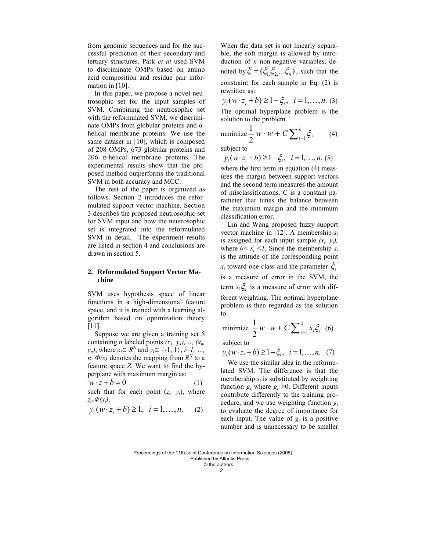from genomic sequences and for the successful prediction of their secondary and tertiary structures. Park *et al* used SVM to discriminate OMPs based on amino acid composition and residue pair information in [10].

In this paper, we propose a novel neutrosophic set for the input samples of SVM. Combining the neutrosophic set with the reformulated SVM, we discriminate OMPs from globular proteins and αhelical membrane proteins. We use the same dataset in [10], which is composed of 208 OMPs, 673 globular proteins and 206  $\alpha$ -helical membrane proteins. The experimental results show that the proposed method outperforms the traditional SVM in both accuracy and MCC.

The rest of the paper is organized as follows. Section 2 introduces the reformulated support vector machine. Section 3 describes the proposed neutrosophic set for SVM input and how the neutrosophic set is integrated into the reformulated SVM in detail. The experiment results are listed in section 4 and conclusions are drawn in section 5.

#### **2. Reformulated Support Vector Machine**

SVM uses hypothesis space of linear functions in a high-dimensional feature space, and it is trained with a learning algorithm based on optimization theory [11].

Suppose we are given a training set *S* containing *n* labeled points  $(x_1, y_1), \ldots, (x_n, y_n)$ *y<sub>n</sub>*), where *x<sub>i</sub>*∈ *R<sup>N</sup>* and *y<sub>i</sub>*∈ {-1, 1}, *i*=*1*, …, *n*.  $\Phi(x)$  denotes the mapping from  $R^N$  to a feature space *Z*. We want to find the hyperplane with maximum margin as:

$$
w \cdot z + b = 0 \tag{1}
$$

such that for each point  $(z_i, y_i)$ , where *zi*=*Φ(xi)*,

$$
y_i(w \cdot z_i + b) \ge 1, \quad i = 1,...,n.
$$
 (2)

When the data set is not linearly separable, the soft margin is allowed by introduction of *n* non-negative variables, denoted by  $\xi = (\xi_1, \xi_2, \dots, \xi_n)$ , such that the constraint for each sample in Eq. (2) is rewritten as:

 $y_i(w \cdot z_i + b) \geq 1 - \xi_i$ ,  $i = 1, ..., n$ . (3)

The optimal hyperplane problem is the solution to the problem

minimize 
$$
\frac{1}{2} w \cdot w + C \sum_{i=1}^{k} \xi_i
$$
 (4)

subject to

$$
y_i(w \cdot z_i + b) \ge 1 - \xi_i, \quad i = 1, ..., n.
$$
 (5)

where the first term in equation  $(4)$  measures the margin between support vectors and the second term measures the amount of misclassifications. C is a constant parameter that tunes the balance between the maximum margin and the minimum classification error.

Lin and Wang proposed fuzzy support vector machine in [12]. A membership *si* is assigned for each input sample  $(x_i, y_i)$ , where  $0 < s_i < 1$ . Since the membership  $s_i$ is the attitude of the corresponding point  $x_i$  toward one class and the parameter  $\xi_i$ is a measure of error in the SVM, the term  $s_i \xi_i$  is a measure of error with different weighting. The optimal hyperplane problem is then regarded as the solution to

minimize 
$$
\frac{1}{2}w \cdot w + C \sum_{i=1}^{k} s_i \xi_i
$$
 (6)

subject to

 $y_i(w \cdot z_i + b) \ge 1 - \xi_i$ ,  $i = 1, ..., n$ . (7)

We use the similar idea in the reformulated SVM. The difference is that the membership  $s_i$  is substituted by weighting function  $g_i$  where  $g_i > 0$ . Different inputs contribute differently to the training procedure, and we use weighting function *gi* to evaluate the degree of importance for each input. The value of  $g_i$  is a positive number and is unnecessary to be smaller

Proceedings of the 11th Joint Conference on Information Sciences (2008) Published by Atlantis Press © the authors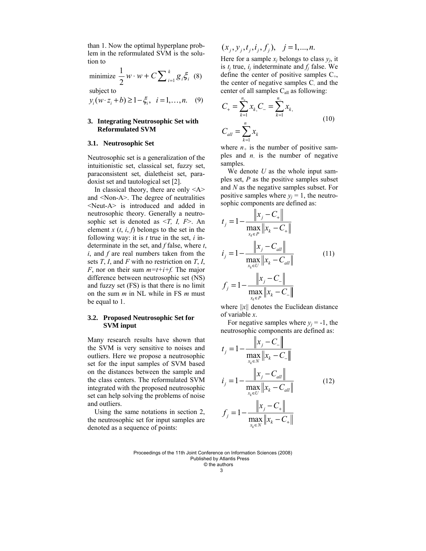than 1. Now the optimal hyperplane problem in the reformulated SVM is the solution to

minimize 
$$
\frac{1}{2}w \cdot w + C \sum_{i=1}^{k} g_i \xi_i
$$
 (8)

subject to

$$
y_i(w \cdot z_i + b) \ge 1 - \xi_i, \quad i = 1, ..., n.
$$
 (9)

#### **3. Integrating Neutrosophic Set with Reformulated SVM**

#### **3.1. Neutrosophic Set**

Neutrosophic set is a generalization of the intuitionistic set, classical set, fuzzy set, paraconsistent set, dialetheist set, paradoxist set and tautological set [2].

In classical theory, there are only  $\langle A \rangle$ and <Non-A>. The degree of neutralities <Neut-A> is introduced and added in neutrosophic theory. Generally a neutrosophic set is denoted as <*T, I, F*>. An element  $x$  ( $t$ ,  $i$ ,  $f$ ) belongs to the set in the following way: it is *t* true in the set, *i* indeterminate in the set, and *f* false, where *t*, *i*, and *f* are real numbers taken from the sets *T*, *I*, and *F* with no restriction on *T*, *I*, *F*, nor on their sum  $m=t+i+f$ . The major difference between neutrosophic set (NS) and fuzzy set (FS) is that there is no limit on the sum *m* in NL while in FS *m* must be equal to 1.

# **3.2. Proposed Neutrosophic Set for SVM input**

Many research results have shown that the SVM is very sensitive to noises and outliers. Here we propose a neutrosophic set for the input samples of SVM based on the distances between the sample and the class centers. The reformulated SVM integrated with the proposed neutrosophic set can help solving the problems of noise and outliers.

Using the same notations in section 2, the neutrosophic set for input samples are denoted as a sequence of points:

$$
(x_j, y_j, t_j, i_j, f_j), j = 1, ..., n.
$$

Here for a sample  $x_i$  belongs to class  $y_i$ , it is  $t_i$  true,  $i_j$  indeterminate and  $f_i$  false. We define the center of positive samples  $C_{+}$ , the center of negative samples C- and the center of all samples  $C_{all}$  as following:

$$
C_{+} = \sum_{k=1}^{n_{+}} x_{k} C_{-} = \sum_{k=1}^{n_{-}} x_{k},
$$
  
\n
$$
C_{all} = \sum_{k=1}^{n} x_{k}
$$
\n(10)

where  $n_+$  is the number of positive samples and *n-* is the number of negative samples.

We denote *U* as the whole input samples set, *P* as the positive samples subset and *N* as the negative samples subset. For positive samples where  $y_i = 1$ , the neutrosophic components are defined as:

$$
t_{j} = 1 - \frac{\|x_{j} - C_{+}\|}{\max_{x_{k} \in P} \|x_{k} - C_{+}\|}
$$
  
\n
$$
i_{j} = 1 - \frac{\|x_{j} - C_{all}\|}{\max_{x_{k} \in U} \|x_{k} - C_{all}\|}
$$
  
\n
$$
f_{j} = 1 - \frac{\|x_{j} - C_{-}\|}{\max_{x_{k} \in P} \|x_{k} - C_{-}\|}
$$
  
\n(11)

where  $||x||$  denotes the Euclidean distance of variable *x*.

For negative samples where  $y_i = -1$ , the neutrosophic components are defined as:  $\mathbf{u}$ 

$$
t_{j} = 1 - \frac{\|x_{j} - C_{-}\|}{\max_{x_{k} \in N} \|x_{k} - C_{-}\|}
$$
  

$$
i_{j} = 1 - \frac{\|x_{j} - C_{all}\|}{\max_{x_{k} \in U} \|x_{k} - C_{all}\|}
$$
  

$$
f_{j} = 1 - \frac{\|x_{j} - C_{+}\|}{\max_{x_{k} \in N} \|x_{k} - C_{+}\|}
$$
  
(12)

Proceedings of the 11th Joint Conference on Information Sciences (2008) Published by Atlantis Press © the authors 3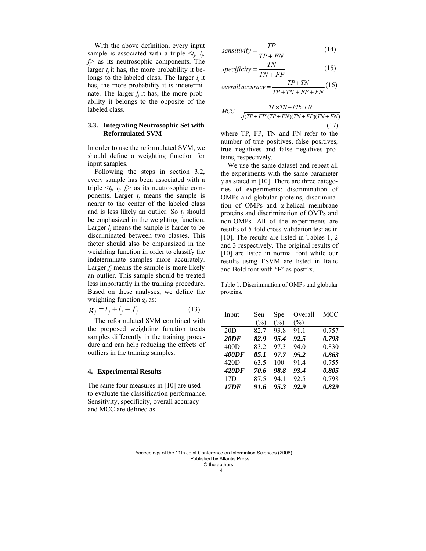With the above definition, every input sample is associated with a triple  $\leq t_i$ ,  $i_j$ , *fj*> as its neutrosophic components. The larger  $t_i$  it has, the more probability it belongs to the labeled class. The larger  $i_i$  it has, the more probability it is indeterminate. The larger  $f_i$  it has, the more probability it belongs to the opposite of the labeled class.

#### **3.3. Integrating Neutrosophic Set with Reformulated SVM**

In order to use the reformulated SVM, we should define a weighting function for input samples.

Following the steps in section 3.2, every sample has been associated with a triple  $\langle t_i, i_j, f \rangle$  as its neutrosophic components. Larger  $t_i$  means the sample is nearer to the center of the labeled class and is less likely an outlier. So  $t_i$  should be emphasized in the weighting function. Larger  $i_j$  means the sample is harder to be discriminated between two classes. This factor should also be emphasized in the weighting function in order to classify the indeterminate samples more accurately. Larger  $f_i$  means the sample is more likely an outlier. This sample should be treated less importantly in the training procedure. Based on these analyses, we define the weighting function *gj* as:

$$
g_j = t_j + i_j - f_j \tag{13}
$$

The reformulated SVM combined with the proposed weighting function treats samples differently in the training procedure and can help reducing the effects of outliers in the training samples.

# **4. Experimental Results**

The same four measures in [10] are used to evaluate the classification performance. Sensitivity, specificity, overall accuracy and MCC are defined as

$$
sensitivity = \frac{TP}{TP + FN}
$$
 (14)

$$
specificity = \frac{TN}{TN + FP}
$$
 (15)

$$
overall accuracy = \frac{TP + TN}{TP + TN + FP + FN}(16)
$$

$$
MCC = \frac{TP \times TN - FP \times FN}{\sqrt{(TP + FP)(TP + FN)(TN + FP)(TN + FN)}}
$$
\n(17)

where TP, FP, TN and FN refer to the number of true positives, false positives, true negatives and false negatives proteins, respectively.

We use the same dataset and repeat all the experiments with the same parameter γ as stated in [10]. There are three categories of experiments: discrimination of OMPs and globular proteins, discrimination of OMPs and α-helical membrane proteins and discrimination of OMPs and non-OMPs. All of the experiments are results of 5-fold cross-validation test as in [10]. The results are listed in Tables 1, 2 and 3 respectively. The original results of [10] are listed in normal font while our results using FSVM are listed in Italic and Bold font with '*F*' as postfix.

Table 1. Discrimination of OMPs and globular proteins.

| Input        | Sen    | Spe  | Overall | <b>MCC</b> |
|--------------|--------|------|---------|------------|
|              | $(\%)$ | (%)  | $(\%)$  |            |
| 20D          | 82.7   | 93.8 | 91.1    | 0.757      |
| 20DF         | 82.9   | 95.4 | 92.5    | 0.793      |
| 400D         | 83.2   | 973  | 94.0    | 0.830      |
| <b>400DF</b> | 85.1   | 97.7 | 95.2    | 0.863      |
| 420D         | 63.5   | 100  | 91.4    | 0.755      |
| <b>420DF</b> | 70.6   | 98.8 | 93.4    | 0.805      |
| 17D          | 87.5   | 94 1 | 92.5    | 0.798      |
| 17DF         | 91.6   | 95.3 | 92.9    | 0.829      |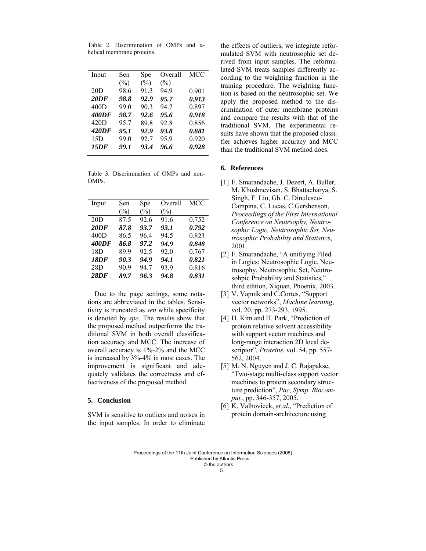Table 2. Discrimination of OMPs and αhelical membrane proteins.

| Input        | Sen  | Spe    | Overall | MCC   |
|--------------|------|--------|---------|-------|
|              | (%)  | $(\%)$ | $(\%)$  |       |
| 20D          | 98.6 | 91.3   | 949     | 0.901 |
| 20DF         | 98.8 | 92.9   | 95.7    | 0.913 |
| 400D         | 990  | 90.3   | 947     | 0.897 |
| <b>400DF</b> | 98.7 | 92.6   | 95.6    | 0.918 |
| 420D         | 95.7 | 89.8   | 92.8    | 0.856 |
| <b>420DF</b> | 95.1 | 92.9   | 93.8    | 0.881 |
| 15D          | 99.0 | 92.7   | 95.9    | 0.920 |
| 15DF         | 99.1 | 93.4   | 96.6    | 0.928 |

Table 3. Discrimination of OMPs and non-OMPs.

| Input | Sen    | Spe    | Overall | <b>MCC</b> |
|-------|--------|--------|---------|------------|
|       | $(\%)$ | $(\%)$ | $(\%)$  |            |
| 20D   | 87.5   | 92.6   | 91.6    | 0.752      |
| 20DF  | 87.8   | 93.7   | 93.1    | 0.792      |
| 400D  | 86.5   | 96.4   | 94.5    | 0.823      |
| 400DF | 86.8   | 97.2   | 94.9    | 0.848      |
| 18D   | 899    | 92.5   | 92.0    | 0.767      |
| 18DF  | 90.3   | 94.9   | 94.1    | 0.821      |
| 28D   | 90.9   | 94.7   | 93.9    | 0.816      |
| 28DF  | 89.7   | 96.3   | 94.8    | 0.831      |
|       |        |        |         |            |

Due to the page settings, some notations are abbreviated in the tables. Sensitivity is truncated as *sen* while specificity is denoted by *spe*. The results show that the proposed method outperforms the traditional SVM in both overall classification accuracy and MCC. The increase of overall accuracy is 1%-2% and the MCC is increased by 3%-4% in most cases. The improvement is significant and adequately validates the correctness and effectiveness of the proposed method.

#### **5. Conclusion**

SVM is sensitive to outliers and noises in the input samples. In order to eliminate

the effects of outliers, we integrate reformulated SVM with neutrosophic set derived from input samples. The reformulated SVM treats samples differently according to the weighting function in the training procedure. The weighting function is based on the neutrosophic set. We apply the proposed method to the discrimination of outer membrane proteins and compare the results with that of the traditional SVM. The experimental results have shown that the proposed classifier achieves higher accuracy and MCC than the traditional SVM method does.

# **6. References**

- [1] F. Smarandache, J. Dezert, A. Buller, M. Khoshnevisan, S. Bhattacharya, S. Singh, F. Liu, Gh. C. Dinulescu-Campina, C. Lucas, C.Gershenson, *Proceedings of the First International Conference on Neutrsophy, Neutrosophic Logic, Neutrosophic Set, Neutrosophic Probability and Statistics*, 2001.
- [2] F. Smarandache, "A unifiying Filed in Logics: Neutrosophic Logic. Neutrosophy, Neutrosophic Set, Neutrosohpic Probability and Statistics," third edition, Xiquan, Phoenix, 2003.
- [3] V. Vapnik and C.Cortes, "Support vector networks", *Machine learning*, vol. 20, pp. 273-293, 1995.
- [4] H. Kim and H. Park, "Prediction of protein relative solvent accessibility with support vector machines and long-range interaction 2D local descriptor", *Proteins*, vol. 54, pp. 557- 562, 2004.
- [5] M. N. Nguyen and J. C. Rajapakse, "Two-stage multi-class support vector machines to protein secondary structure prediction", *Pac, Symp. Biocomput.*, pp. 346-357, 2005.
- [6] K. Valhovicek, *et al*., "Prediction of protein domain-architecture using